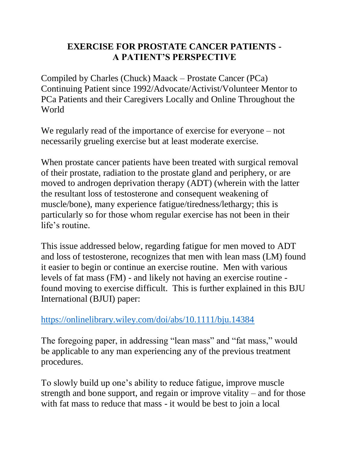## **EXERCISE FOR PROSTATE CANCER PATIENTS - A PATIENT'S PERSPECTIVE**

Compiled by Charles (Chuck) Maack – Prostate Cancer (PCa) Continuing Patient since 1992/Advocate/Activist/Volunteer Mentor to PCa Patients and their Caregivers Locally and Online Throughout the World

We regularly read of the importance of exercise for everyone – not necessarily grueling exercise but at least moderate exercise.

When prostate cancer patients have been treated with surgical removal of their prostate, radiation to the prostate gland and periphery, or are moved to androgen deprivation therapy (ADT) (wherein with the latter the resultant loss of testosterone and consequent weakening of muscle/bone), many experience fatigue/tiredness/lethargy; this is particularly so for those whom regular exercise has not been in their life's routine.

This issue addressed below, regarding fatigue for men moved to ADT and loss of testosterone, recognizes that men with lean mass (LM) found it easier to begin or continue an exercise routine. Men with various levels of fat mass (FM) - and likely not having an exercise routine found moving to exercise difficult. This is further explained in this BJU International (BJUI) paper:

## <https://onlinelibrary.wiley.com/doi/abs/10.1111/bju.14384>

The foregoing paper, in addressing "lean mass" and "fat mass," would be applicable to any man experiencing any of the previous treatment procedures.

To slowly build up one's ability to reduce fatigue, improve muscle strength and bone support, and regain or improve vitality – and for those with fat mass to reduce that mass - it would be best to join a local